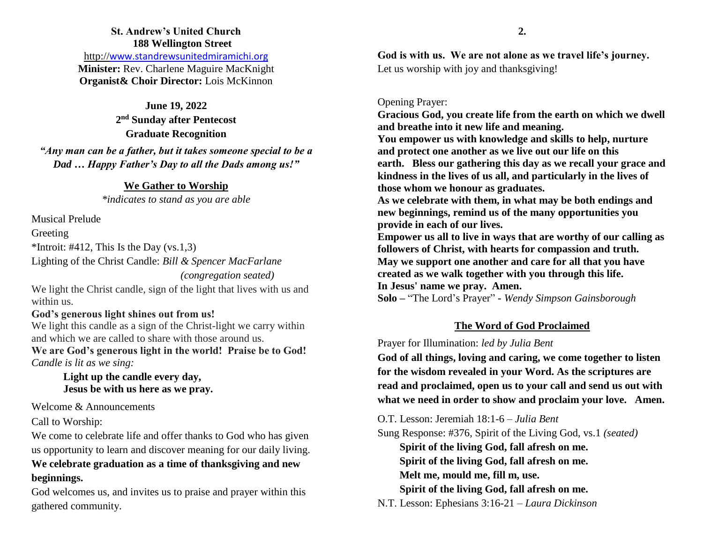# **St. Andrew's United Church 188 Wellington Street**

http://[www.standrewsunitedmiramichi.org](http://www.standrewsunitedmiramichi.org/) **Minister:** Rev. Charlene Maguire MacKnight **Organist& Choir Director:** Lois McKinnon

**June 19, 2022 2 nd Sunday after Pentecost Graduate Recognition**  *"Any man can be a father, but it takes someone special to be a Dad … Happy Father's Day to all the Dads among us!"*

#### **We Gather to Worship**

*\*indicates to stand as you are able*

Musical Prelude Greeting \*Introit: #412, This Is the Day  $(vs.1,3)$ 

Lighting of the Christ Candle: *Bill & Spencer MacFarlane*

*(congregation seated)*

We light the Christ candle, sign of the light that lives with us and within us.

## **God's generous light shines out from us!**

We light this candle as a sign of the Christ-light we carry within and which we are called to share with those around us.

**We are God's generous light in the world! Praise be to God!** *Candle is lit as we sing:*

> **Light up the candle every day, Jesus be with us here as we pray.**

Welcome & Announcements

Call to Worship:

We come to celebrate life and offer thanks to God who has given us opportunity to learn and discover meaning for our daily living. **We celebrate graduation as a time of thanksgiving and new beginnings.**

God welcomes us, and invites us to praise and prayer within this gathered community.

**God is with us. We are not alone as we travel life's journey.** Let us worship with joy and thanksgiving!

### Opening Prayer:

**Gracious God, you create life from the earth on which we dwell and breathe into it new life and meaning. You empower us with knowledge and skills to help, nurture and protect one another as we live out our life on this earth. Bless our gathering this day as we recall your grace and kindness in the lives of us all, and particularly in the lives of those whom we honour as graduates.**

**As we celebrate with them, in what may be both endings and new beginnings, remind us of the many opportunities you provide in each of our lives.** 

**Empower us all to live in ways that are worthy of our calling as followers of Christ, with hearts for compassion and truth. May we support one another and care for all that you have created as we walk together with you through this life. In Jesus' name we pray. Amen.**

**Solo –** "The Lord's Prayer" **-** *Wendy Simpson Gainsborough*

## **The Word of God Proclaimed**

Prayer for Illumination: *led by Julia Bent*

**God of all things, loving and caring, we come together to listen for the wisdom revealed in your Word. As the scriptures are read and proclaimed, open us to your call and send us out with what we need in order to show and proclaim your love. Amen.**

O.T. Lesson: Jeremiah 18:1-6 – *Julia Bent*

Sung Response: #376, Spirit of the Living God, vs.1 *(seated)* 

**Spirit of the living God, fall afresh on me. Spirit of the living God, fall afresh on me. Melt me, mould me, fill m, use. Spirit of the living God, fall afresh on me.**

N.T. Lesson: Ephesians 3:16-21 – *Laura Dickinson*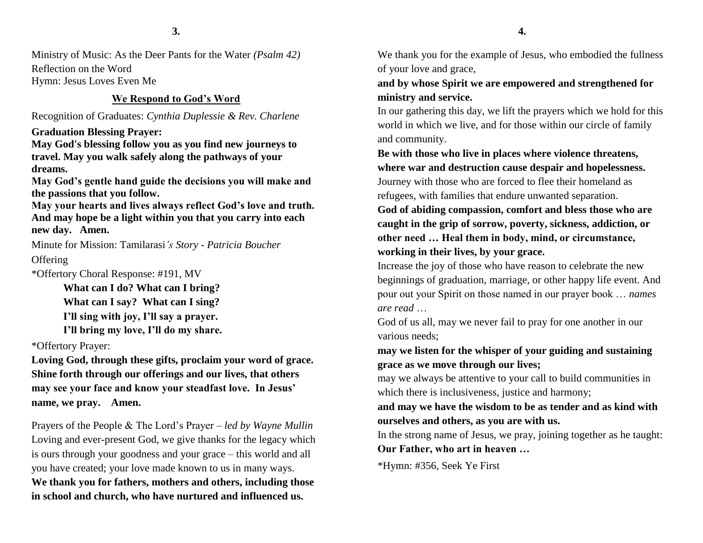Ministry of Music: As the Deer Pants for the Water *(Psalm 42)* Reflection on the Word Hymn: Jesus Loves Even Me

### **We Respond to God's Word**

Recognition of Graduates: *Cynthia Duplessie & Rev. Charlene*

**Graduation Blessing Prayer:**

**May God's blessing follow you as you find new journeys to travel. May you walk safely along the pathways of your dreams.**

**May God's gentle hand guide the decisions you will make and the passions that you follow.**

**May your hearts and lives always reflect God's love and truth. And may hope be a light within you that you carry into each new day. Amen.**

Minute for Mission: Tamilarasi*'s Story - Patricia Boucher*

**Offering** 

\*Offertory Choral Response: #191, MV

**What can I do? What can I bring? What can I say? What can I sing? I'll sing with joy, I'll say a prayer. I'll bring my love, I'll do my share.**

\*Offertory Prayer:

**Loving God, through these gifts, proclaim your word of grace. Shine forth through our offerings and our lives, that others may see your face and know your steadfast love. In Jesus' name, we pray. Amen.**

Prayers of the People & The Lord's Prayer – *led by Wayne Mullin* Loving and ever-present God, we give thanks for the legacy which is ours through your goodness and your grace – this world and all you have created; your love made known to us in many ways. **We thank you for fathers, mothers and others, including those in school and church, who have nurtured and influenced us.**

**4.**

We thank you for the example of Jesus, who embodied the fullness of your love and grace,

# **and by whose Spirit we are empowered and strengthened for ministry and service.**

In our gathering this day, we lift the prayers which we hold for this world in which we live, and for those within our circle of family and community.

**Be with those who live in places where violence threatens, where war and destruction cause despair and hopelessness.**  Journey with those who are forced to flee their homeland as refugees, with families that endure unwanted separation.

**God of abiding compassion, comfort and bless those who are caught in the grip of sorrow, poverty, sickness, addiction, or other need … Heal them in body, mind, or circumstance, working in their lives, by your grace.**

Increase the joy of those who have reason to celebrate the new beginnings of graduation, marriage, or other happy life event. And pour out your Spirit on those named in our prayer book … *names are read* …

God of us all, may we never fail to pray for one another in our various needs;

**may we listen for the whisper of your guiding and sustaining grace as we move through our lives;**

may we always be attentive to your call to build communities in which there is inclusiveness, justice and harmony;

# **and may we have the wisdom to be as tender and as kind with ourselves and others, as you are with us.**

In the strong name of Jesus, we pray, joining together as he taught: **Our Father, who art in heaven …**

\*Hymn: #356, Seek Ye First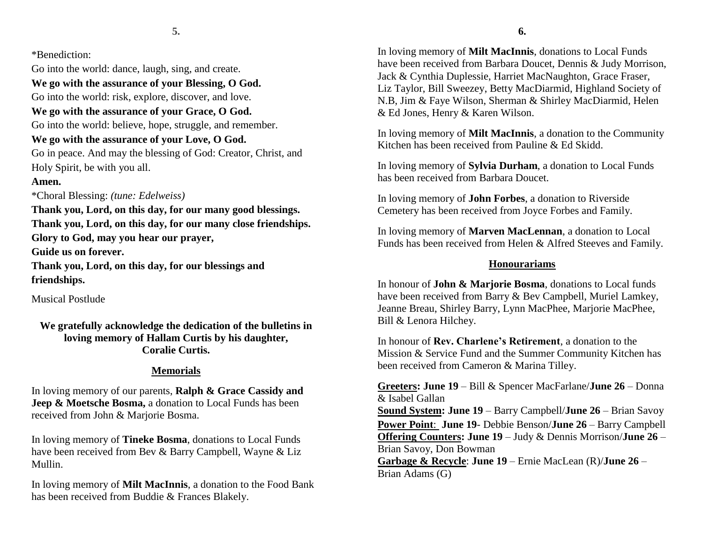\*Benediction:

Go into the world: dance, laugh, sing, and create.

**We go with the assurance of your Blessing, O God.**

Go into the world: risk, explore, discover, and love.

# **We go with the assurance of your Grace, O God.**

Go into the world: believe, hope, struggle, and remember.

# **We go with the assurance of your Love, O God.**

Go in peace. And may the blessing of God: Creator, Christ, and Holy Spirit, be with you all.

## **Amen.**

\*Choral Blessing: *(tune: Edelweiss)*

**Thank you, Lord, on this day, for our many good blessings. Thank you, Lord, on this day, for our many close friendships. Glory to God, may you hear our prayer,**

**Guide us on forever.**

**Thank you, Lord, on this day, for our blessings and friendships.** 

Musical Postlude

**We gratefully acknowledge the dedication of the bulletins in loving memory of Hallam Curtis by his daughter, Coralie Curtis.**

# **Memorials**

In loving memory of our parents, **Ralph & Grace Cassidy and Jeep & Moetsche Bosma,** a donation to Local Funds has been received from John & Marjorie Bosma.

In loving memory of **Tineke Bosma**, donations to Local Funds have been received from Bev & Barry Campbell, Wayne & Liz Mullin.

In loving memory of **Milt MacInnis**, a donation to the Food Bank has been received from Buddie & Frances Blakely.

In loving memory of **Milt MacInnis**, donations to Local Funds have been received from Barbara Doucet, Dennis & Judy Morrison, Jack & Cynthia Duplessie, Harriet MacNaughton, Grace Fraser, Liz Taylor, Bill Sweezey, Betty MacDiarmid, Highland Society of N.B, Jim & Faye Wilson, Sherman & Shirley MacDiarmid, Helen & Ed Jones, Henry & Karen Wilson.

In loving memory of **Milt MacInnis**, a donation to the Community Kitchen has been received from Pauline & Ed Skidd.

In loving memory of **Sylvia Durham**, a donation to Local Funds has been received from Barbara Doucet.

In loving memory of **John Forbes**, a donation to Riverside Cemetery has been received from Joyce Forbes and Family.

In loving memory of **Marven MacLennan**, a donation to Local Funds has been received from Helen & Alfred Steeves and Family.

# **Honourariams**

In honour of **John & Marjorie Bosma**, donations to Local funds have been received from Barry & Bev Campbell, Muriel Lamkey, Jeanne Breau, Shirley Barry, Lynn MacPhee, Marjorie MacPhee, Bill & Lenora Hilchey.

In honour of **Rev. Charlene's Retirement**, a donation to the Mission & Service Fund and the Summer Community Kitchen has been received from Cameron & Marina Tilley.

**Greeters: June 19** – Bill & Spencer MacFarlane/**June 26** – Donna & Isabel Gallan

**Sound System: June 19** – Barry Campbell/**June 26** – Brian Savoy **Power Point**: **June 19**- Debbie Benson/**June 26** – Barry Campbell **Offering Counters: June 19** – Judy & Dennis Morrison/**June 26** – Brian Savoy, Don Bowman

**Garbage & Recycle**: **June 19** – Ernie MacLean (R)/**June 26** – Brian Adams (G)